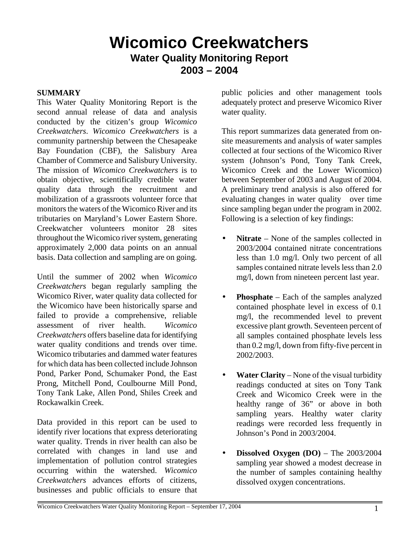# **Wicomico Creekwatchers Water Quality Monitoring Report 2003 – 2004**

#### **SUMMARY**

This Water Quality Monitoring Report is the second annual release of data and analysis conducted by the citizen's group *Wicomico Creekwatchers*. *Wicomico Creekwatchers* is a community partnership between the Chesapeake Bay Foundation (CBF), the Salisbury Area Chamber of Commerce and Salisbury University. The mission of *Wicomico Creekwatchers* is to obtain objective, scientifically credible water quality data through the recruitment and mobilization of a grassroots volunteer force that monitors the waters of the Wicomico River and its tributaries on Maryland's Lower Eastern Shore. Creekwatcher volunteers monitor 28 sites throughout the Wicomico river system, generating approximately 2,000 data points on an annual basis. Data collection and sampling are on going.

Until the summer of 2002 when *Wicomico Creekwatchers* began regularly sampling the Wicomico River, water quality data collected for the Wicomico have been historically sparse and failed to provide a comprehensive, reliable assessment of river health. *Wicomico Creekwatchers* offers baseline data for identifying water quality conditions and trends over time. Wicomico tributaries and dammed water features for which data has been collected include Johnson Pond, Parker Pond, Schumaker Pond, the East Prong, Mitchell Pond, Coulbourne Mill Pond, Tony Tank Lake, Allen Pond, Shiles Creek and Rockawalkin Creek.

Data provided in this report can be used to identify river locations that express deteriorating water quality. Trends in river health can also be correlated with changes in land use and implementation of pollution control strategies occurring within the watershed. *Wicomico Creekwatchers* advances efforts of citizens, businesses and public officials to ensure that

public policies and other management tools adequately protect and preserve Wicomico River water quality.

This report summarizes data generated from onsite measurements and analysis of water samples collected at four sections of the Wicomico River system (Johnson's Pond, Tony Tank Creek, Wicomico Creek and the Lower Wicomico) between September of 2003 and August of 2004. A preliminary trend analysis is also offered for evaluating changes in water quality over time since sampling began under the program in 2002. Following is a selection of key findings:

- **Nitrate** None of the samples collected in 2003/2004 contained nitrate concentrations less than 1.0 mg/l. Only two percent of all samples contained nitrate levels less than 2.0 mg/l, down from nineteen percent last year.
- **Phosphate** Each of the samples analyzed contained phosphate level in excess of 0.1 mg/l, the recommended level to prevent excessive plant growth. Seventeen percent of all samples contained phosphate levels less than 0.2 mg/l, down from fifty-five percent in 2002/2003.
- **Water Clarity** None of the visual turbidity readings conducted at sites on Tony Tank Creek and Wicomico Creek were in the healthy range of 36" or above in both sampling years. Healthy water clarity readings were recorded less frequently in Johnson's Pond in 2003/2004.
- **Dissolved Oxygen (DO)** The 2003/2004 sampling year showed a modest decrease in the number of samples containing healthy dissolved oxygen concentrations.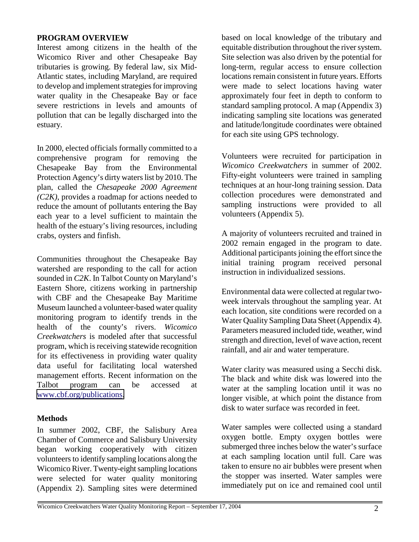#### **PROGRAM OVERVIEW**

Interest among citizens in the health of the Wicomico River and other Chesapeake Bay tributaries is growing. By federal law, six Mid-Atlantic states, including Maryland, are required to develop and implement strategies for improving water quality in the Chesapeake Bay or face severe restrictions in levels and amounts of pollution that can be legally discharged into the estuary.

In 2000, elected officials formally committed to a comprehensive program for removing the Chesapeake Bay from the Environmental Protection Agency's dirty waters list by 2010. The plan, called the *Chesapeake 2000 Agreement (C2K)*, provides a roadmap for actions needed to reduce the amount of pollutants entering the Bay each year to a level sufficient to maintain the health of the estuary's living resources, including crabs, oysters and finfish.

Communities throughout the Chesapeake Bay watershed are responding to the call for action sounded in *C2K*. In Talbot County on Maryland's Eastern Shore, citizens working in partnership with CBF and the Chesapeake Bay Maritime Museum launched a volunteer-based water quality monitoring program to identify trends in the health of the county's rivers. *Wicomico Creekwatchers* is modeled after that successful program, which is receiving statewide recognition for its effectiveness in providing water quality data useful for facilitating local watershed management efforts. Recent information on the Talbot program can be accessed at [www.cbf.org/publications.](http://www.cbf.org/publications)

## **Methods**

In summer 2002, CBF, the Salisbury Area Chamber of Commerce and Salisbury University began working cooperatively with citizen volunteers to identify sampling locations along the Wicomico River. Twenty-eight sampling locations were selected for water quality monitoring (Appendix 2). Sampling sites were determined based on local knowledge of the tributary and equitable distribution throughout the river system. Site selection was also driven by the potential for long-term, regular access to ensure collection locations remain consistent in future years. Efforts were made to select locations having water approximately four feet in depth to conform to standard sampling protocol. A map (Appendix 3) indicating sampling site locations was generated and latitude/longitude coordinates were obtained for each site using GPS technology.

Volunteers were recruited for participation in *Wicomico Creekwatchers* in summer of 2002. Fifty-eight volunteers were trained in sampling techniques at an hour-long training session. Data collection procedures were demonstrated and sampling instructions were provided to all volunteers (Appendix 5).

A majority of volunteers recruited and trained in 2002 remain engaged in the program to date. Additional participants joining the effort since the initial training program received personal instruction in individualized sessions.

Environmental data were collected at regular twoweek intervals throughout the sampling year. At each location, site conditions were recorded on a Water Quality Sampling Data Sheet (Appendix 4). Parameters measured included tide, weather, wind strength and direction, level of wave action, recent rainfall, and air and water temperature.

Water clarity was measured using a Secchi disk. The black and white disk was lowered into the water at the sampling location until it was no longer visible, at which point the distance from disk to water surface was recorded in feet.

Water samples were collected using a standard oxygen bottle. Empty oxygen bottles were submerged three inches below the water's surface at each sampling location until full. Care was taken to ensure no air bubbles were present when the stopper was inserted. Water samples were immediately put on ice and remained cool until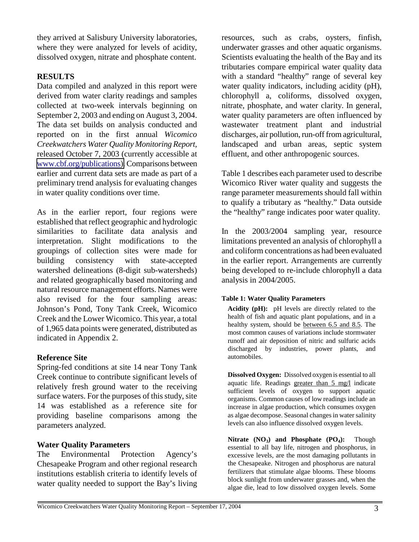they arrived at Salisbury University laboratories, where they were analyzed for levels of acidity, dissolved oxygen, nitrate and phosphate content.

# **RESULTS**

Data compiled and analyzed in this report were derived from water clarity readings and samples collected at two-week intervals beginning on September 2, 2003 and ending on August 3, 2004. The data set builds on analysis conducted and reported on in the first annual *Wicomico Creekwatchers Water Quality Monitoring Report,*  released October 7, 2003 (currently accessible at [www.cbf.org/publications\).](http://www.cbf.org/publications) Comparisons between earlier and current data sets are made as part of a preliminary trend analysis for evaluating changes in water quality conditions over time.

As in the earlier report, four regions were established that reflect geographic and hydrologic similarities to facilitate data analysis and interpretation. Slight modifications to the groupings of collection sites were made for building consistency with state-accepted watershed delineations (8-digit sub-watersheds) and related geographically based monitoring and natural resource management efforts. Names were also revised for the four sampling areas: Johnson's Pond, Tony Tank Creek, Wicomico Creek and the Lower Wicomico. This year, a total of 1,965 data points were generated, distributed as indicated in Appendix 2.

# **Reference Site**

Spring-fed conditions at site 14 near Tony Tank Creek continue to contribute significant levels of relatively fresh ground water to the receiving surface waters. For the purposes of this study, site 14 was established as a reference site for providing baseline comparisons among the parameters analyzed.

# **Water Quality Parameters**

The Environmental Protection Agency's Chesapeake Program and other regional research institutions establish criteria to identify levels of water quality needed to support the Bay's living

resources, such as crabs, oysters, finfish, underwater grasses and other aquatic organisms. Scientists evaluating the health of the Bay and its tributaries compare empirical water quality data with a standard "healthy" range of several key water quality indicators, including acidity (pH), chlorophyll a, coliforms, dissolved oxygen, nitrate, phosphate, and water clarity. In general, water quality parameters are often influenced by wastewater treatment plant and industrial discharges, air pollution, run-off from agricultural, landscaped and urban areas, septic system effluent, and other anthropogenic sources.

Table 1 describes each parameter used to describe Wicomico River water quality and suggests the range parameter measurements should fall within to qualify a tributary as "healthy." Data outside the "healthy" range indicates poor water quality.

In the 2003/2004 sampling year, resource limitations prevented an analysis of chlorophyll a and coliform concentrations as had been evaluated in the earlier report. Arrangements are currently being developed to re-include chlorophyll a data analysis in 2004/2005.

## **Table 1: Water Quality Parameters**

**Acidity (pH):** pH levels are directly related to the health of fish and aquatic plant populations, and in a healthy system, should be between 6.5 and 8.5. The most common causes of variations include stormwater runoff and air deposition of nitric and sulfuric acids discharged by industries, power plants, and automobiles.

**Dissolved Oxygen:** Dissolved oxygen is essential to all aquatic life. Readings greater than 5 mg/l indicate sufficient levels of oxygen to support aquatic organisms. Common causes of low readings include an increase in algae production, which consumes oxygen as algae decompose. Seasonal changes in water salinity levels can also influence dissolved oxygen levels.

Nitrate (NO<sub>3</sub>) and Phosphate (PO<sub>4</sub>): Though essential to all bay life, nitrogen and phosphorus, in excessive levels, are the most damaging pollutants in the Chesapeake. Nitrogen and phosphorus are natural fertilizers that stimulate algae blooms. These blooms block sunlight from underwater grasses and, when the algae die, lead to low dissolved oxygen levels. Some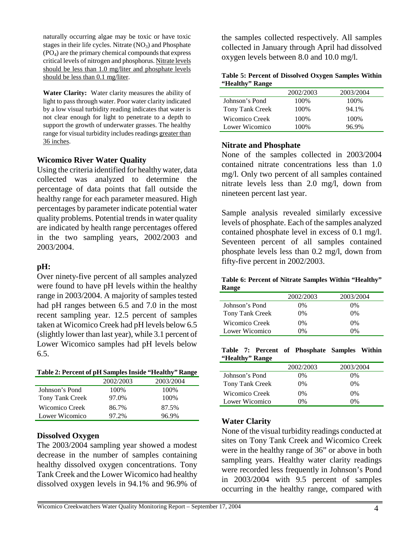naturally occurring algae may be toxic or have toxic stages in their life cycles. Nitrate  $(NO<sub>3</sub>)$  and Phosphate  $(PO<sub>4</sub>)$  are the primary chemical compounds that express critical levels of nitrogen and phosphorus. Nitrate levels should be less than 1.0 mg/liter and phosphate levels should be less than 0.1 mg/liter.

**Water Clarity:** Water clarity measures the ability of light to pass through water. Poor water clarity indicated by a low visual turbidity reading indicates that water is not clear enough for light to penetrate to a depth to support the growth of underwater grasses. The healthy range for visual turbidity includes readings greater than 36 inches.

#### **Wicomico River Water Quality**

Using the criteria identified for healthy water, data collected was analyzed to determine the percentage of data points that fall outside the healthy range for each parameter measured. High percentages by parameter indicate potential water quality problems. Potential trends in water quality are indicated by health range percentages offered in the two sampling years, 2002/2003 and 2003/2004.

## **pH:**

Over ninety-five percent of all samples analyzed were found to have pH levels within the healthy range in 2003/2004. A majority of samples tested had pH ranges between 6.5 and 7.0 in the most recent sampling year. 12.5 percent of samples taken at Wicomico Creek had pH levels below 6.5 (slightly lower than last year), while 3.1 percent of Lower Wicomico samples had pH levels below 6.5.

**Table 2: Percent of pH Samples Inside "Healthy" Range**

|                 | 2002/2003 | 2003/2004 |
|-----------------|-----------|-----------|
| Johnson's Pond  | 100%      | 100%      |
| Tony Tank Creek | 97.0%     | 100\%     |
| Wicomico Creek  | 86.7%     | 87.5%     |
| Lower Wicomico  | 97.2%     | 96.9%     |

#### **Dissolved Oxygen**

The 2003/2004 sampling year showed a modest decrease in the number of samples containing healthy dissolved oxygen concentrations. Tony Tank Creek and the Lower Wicomico had healthy dissolved oxygen levels in 94.1% and 96.9% of

the samples collected respectively. All samples collected in January through April had dissolved oxygen levels between 8.0 and 10.0 mg/l.

| Table 5: Percent of Dissolved Oxygen Samples Within |  |  |
|-----------------------------------------------------|--|--|
| "Healthy" Range                                     |  |  |

|                 | 2002/2003 | 2003/2004 |
|-----------------|-----------|-----------|
| Johnson's Pond  | 100%      | 100%      |
| Tony Tank Creek | 100%      | 94.1%     |
| Wicomico Creek  | 100%      | 100\%     |
| Lower Wicomico  | 100%      | 96.9%     |

#### **Nitrate and Phosphate**

None of the samples collected in 2003/2004 contained nitrate concentrations less than 1.0 mg/l. Only two percent of all samples contained nitrate levels less than 2.0 mg/l, down from nineteen percent last year.

Sample analysis revealed similarly excessive levels of phosphate. Each of the samples analyzed contained phosphate level in excess of 0.1 mg/l. Seventeen percent of all samples contained phosphate levels less than 0.2 mg/l, down from fifty-five percent in 2002/2003.

**Table 6: Percent of Nitrate Samples Within "Healthy" Range**

|                 | 2002/2003 | 2003/2004 |
|-----------------|-----------|-----------|
| Johnson's Pond  | 0%        | $0\%$     |
| Tony Tank Creek | 0%        | 0%        |
| Wicomico Creek  | 0%        | $0\%$     |
| Lower Wicomico  | 0%        | 0%        |

**Table 7: Percent of Phosphate Samples Within "Healthy" Range**

|                 | 2002/2003 | 2003/2004 |
|-----------------|-----------|-----------|
| Johnson's Pond  | 0%        | 0%        |
| Tony Tank Creek | $0\%$     | 0%        |
| Wicomico Creek  | 0%        | $0\%$     |
| Lower Wicomico  | 0%        | 0%        |

## **Water Clarity**

None of the visual turbidity readings conducted at sites on Tony Tank Creek and Wicomico Creek were in the healthy range of 36" or above in both sampling years. Healthy water clarity readings were recorded less frequently in Johnson's Pond in 2003/2004 with 9.5 percent of samples occurring in the healthy range, compared with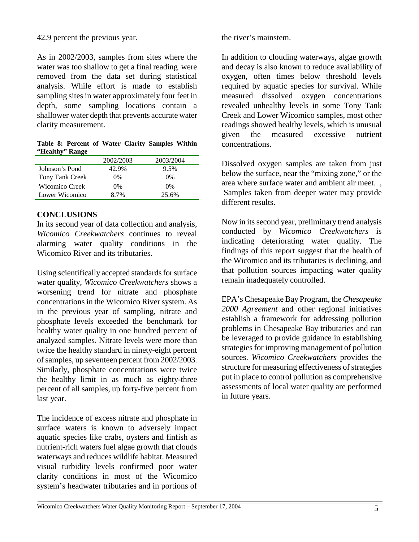### 42.9 percent the previous year.

As in 2002/2003, samples from sites where the water was too shallow to get a final reading were removed from the data set during statistical analysis. While effort is made to establish sampling sites in water approximately four feet in depth, some sampling locations contain a shallower water depth that prevents accurate water clarity measurement.

**Table 8: Percent of Water Clarity Samples Within "Healthy" Range**

|                 | 2002/2003 | 2003/2004 |  |
|-----------------|-----------|-----------|--|
| Johnson's Pond  | 42.9%     | 9.5%      |  |
| Tony Tank Creek | $0\%$     | 0%        |  |
| Wicomico Creek  | $0\%$     | $0\%$     |  |
| Lower Wicomico  | 8.7%      | 25.6%     |  |
|                 |           |           |  |

## **CONCLUSIONS**

In its second year of data collection and analysis, *Wicomico Creekwatchers* continues to reveal alarming water quality conditions in the Wicomico River and its tributaries.

Using scientifically accepted standards for surface water quality, *Wicomico Creekwatchers* shows a worsening trend for nitrate and phosphate concentrations in the Wicomico River system. As in the previous year of sampling, nitrate and phosphate levels exceeded the benchmark for healthy water quality in one hundred percent of analyzed samples. Nitrate levels were more than twice the healthy standard in ninety-eight percent of samples, up seventeen percent from 2002/2003. Similarly, phosphate concentrations were twice the healthy limit in as much as eighty-three percent of all samples, up forty-five percent from last year.

The incidence of excess nitrate and phosphate in surface waters is known to adversely impact aquatic species like crabs, oysters and finfish as nutrient-rich waters fuel algae growth that clouds waterways and reduces wildlife habitat. Measured visual turbidity levels confirmed poor water clarity conditions in most of the Wicomico system's headwater tributaries and in portions of the river's mainstem.

In addition to clouding waterways, algae growth and decay is also known to reduce availability of oxygen, often times below threshold levels required by aquatic species for survival. While measured dissolved oxygen concentrations revealed unhealthy levels in some Tony Tank Creek and Lower Wicomico samples, most other readings showed healthy levels, which is unusual given the measured excessive nutrient concentrations.

Dissolved oxygen samples are taken from just below the surface, near the "mixing zone," or the area where surface water and ambient air meet. , Samples taken from deeper water may provide different results.

Now in its second year, preliminary trend analysis conducted by *Wicomico Creekwatchers* is indicating deteriorating water quality. The findings of this report suggest that the health of the Wicomico and its tributaries is declining, and that pollution sources impacting water quality remain inadequately controlled.

EPA's Chesapeake Bay Program, the *Chesapeake 2000 Agreement* and other regional initiatives establish a framework for addressing pollution problems in Chesapeake Bay tributaries and can be leveraged to provide guidance in establishing strategies for improving management of pollution sources. *Wicomico Creekwatchers* provides the structure for measuring effectiveness of strategies put in place to control pollution as comprehensive assessments of local water quality are performed in future years.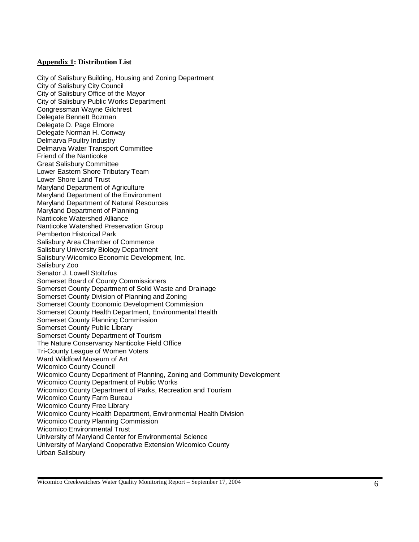#### **Appendix 1: Distribution List**

City of Salisbury Building, Housing and Zoning Department City of Salisbury City Council City of Salisbury Office of the Mayor City of Salisbury Public Works Department Congressman Wayne Gilchrest Delegate Bennett Bozman Delegate D. Page Elmore Delegate Norman H. Conway Delmarva Poultry Industry Delmarva Water Transport Committee Friend of the Nanticoke Great Salisbury Committee Lower Eastern Shore Tributary Team Lower Shore Land Trust Maryland Department of Agriculture Maryland Department of the Environment Maryland Department of Natural Resources Maryland Department of Planning Nanticoke Watershed Alliance Nanticoke Watershed Preservation Group Pemberton Historical Park Salisbury Area Chamber of Commerce Salisbury University Biology Department Salisbury-Wicomico Economic Development, Inc. Salisbury Zoo Senator J. Lowell Stoltzfus Somerset Board of County Commissioners Somerset County Department of Solid Waste and Drainage Somerset County Division of Planning and Zoning Somerset County Economic Development Commission Somerset County Health Department, Environmental Health Somerset County Planning Commission Somerset County Public Library Somerset County Department of Tourism The Nature Conservancy Nanticoke Field Office Tri-County League of Women Voters Ward Wildfowl Museum of Art Wicomico County Council Wicomico County Department of Planning, Zoning and Community Development Wicomico County Department of Public Works Wicomico County Department of Parks, Recreation and Tourism Wicomico County Farm Bureau Wicomico County Free Library Wicomico County Health Department, Environmental Health Division Wicomico County Planning Commission Wicomico Environmental Trust University of Maryland Center for Environmental Science University of Maryland Cooperative Extension Wicomico County Urban Salisbury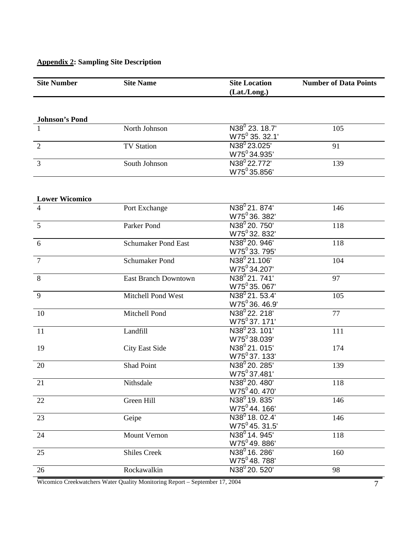# **Appendix 2: Sampling Site Description**

| <b>Site Number</b>         | <b>Site Name</b>            | <b>Site Location</b><br>(Lat./Long.)                  | <b>Number of Data Points</b> |  |
|----------------------------|-----------------------------|-------------------------------------------------------|------------------------------|--|
|                            |                             |                                                       |                              |  |
| <b>Johnson's Pond</b><br>1 | North Johnson               | N38 <sup>0</sup> 23. 18.7'                            | 105                          |  |
|                            |                             | $W75^0$ 35. 32.1'                                     |                              |  |
| $\overline{2}$             | <b>TV Station</b>           | N38 <sup>0</sup> 23.025'<br>W75 <sup>0</sup> 34.935'  | 91                           |  |
| 3                          | South Johnson               | N38 <sup>0</sup> 22.772'<br>W75 <sup>0</sup> 35.856'  | 139                          |  |
|                            |                             |                                                       |                              |  |
| <b>Lower Wicomico</b>      |                             | N38 <sup>0</sup> 21.874'                              | 146                          |  |
|                            | Port Exchange               | W75 <sup>0</sup> 36.382                               |                              |  |
| 5                          | Parker Pond                 | N38 <sup>0</sup> 20, 750'                             | 118                          |  |
|                            | <b>Schumaker Pond East</b>  | W75 <sup>0</sup> 32.832'<br>N38 <sup>0</sup> 20. 946' |                              |  |
| 6                          |                             | W75 <sup>0</sup> 33.795'                              | 118                          |  |
| $\overline{7}$             | <b>Schumaker Pond</b>       | N38 <sup>0</sup> 21.106'<br>W75 <sup>0</sup> 34.207'  | 104                          |  |
| 8                          | <b>East Branch Downtown</b> | N38 <sup>0</sup> 21.741'                              | 97                           |  |
| 9                          | Mitchell Pond West          | W75 <sup>0</sup> 35.067'<br>$N38^{0}$ 21.53.4'        | 105                          |  |
|                            |                             | $W75^036.46.9'$                                       |                              |  |
| 10                         | Mitchell Pond               | N38 <sup>0</sup> 22. 218'<br>W75 <sup>0</sup> 37.171' | 77                           |  |
| 11                         | Landfill                    | N38 <sup>0</sup> 23.101'<br>W75 <sup>0</sup> 38.039'  | 111                          |  |
| 19                         | <b>City East Side</b>       | N38 <sup>0</sup> 21.015'<br>W75 <sup>0</sup> 37.133'  | 174                          |  |
| 20                         | Shad Point                  | N38 <sup>0</sup> 20. 285'<br>W75 <sup>0</sup> 37.481' | 139                          |  |
| 21                         | Nithsdale                   | N38 <sup>0</sup> 20.480'<br>W75 <sup>0</sup> 40.470'  | 118                          |  |
| 22                         | Green Hill                  | N38 <sup>0</sup> 19, 835'<br>W75 <sup>0</sup> 44.166' | 146                          |  |
| 23                         | Geipe                       | $N38^0$ 18. 02.4'<br>$W75^0$ 45. 31.5'                | 146                          |  |
| 24                         | Mount Vernon                | N38 <sup>0</sup> 14. 945'<br>W75 <sup>0</sup> 49.886' | 118                          |  |
| 25                         | <b>Shiles Creek</b>         | N38 <sup>0</sup> 16. 286'<br>W75 <sup>0</sup> 48.788' | 160                          |  |
| 26                         | Rockawalkin                 | N38 <sup>0</sup> 20. 520'                             | 98                           |  |

Wicomico Creekwatchers Water Quality Monitoring Report – September 17, 2004 7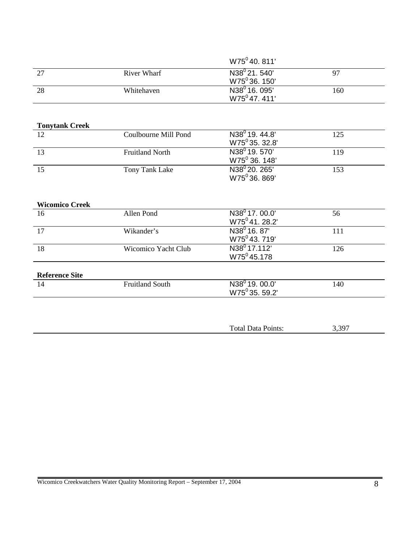|    |             | W75 <sup>0</sup> 40, 811' |     |
|----|-------------|---------------------------|-----|
| 27 | River Wharf | $N38^{0}$ 21, 540'        | 97  |
|    |             | W75 <sup>0</sup> 36, 150' |     |
| 28 | Whitehaven  | N38 <sup>0</sup> 16. 095' | 160 |
|    |             | $W75^047.411'$            |     |

| <b>Tonytank Creek</b> |                        |                                                        |     |
|-----------------------|------------------------|--------------------------------------------------------|-----|
| 12                    | Coulbourne Mill Pond   | $N38^0 19.44.8'$<br>$W75^0$ 35, 32.8'                  | 125 |
| 13                    | <b>Fruitland North</b> | N38 <sup>0</sup> 19, 570'<br>W75 <sup>0</sup> 36. 148' | 119 |
| 15                    | Tony Tank Lake         | N38 <sup>0</sup> 20. 265'<br>W75 <sup>0</sup> 36, 869' | 153 |
| <b>Wicomico Creek</b> |                        |                                                        |     |
| 16                    | Allen Pond             | $N38^0$ 17, 00.0'<br>$W75^{\circ}$ 41, 28.2'           | 56  |
| 17                    | Wikander's             | $N38^0$ 16, 87'<br>W75 <sup>0</sup> 43, 719'           | 111 |
| 18                    | Wicomico Yacht Club    | N38 <sup>0</sup> 17.112'<br>$W75^045.178$              | 126 |
| <b>Reference Site</b> |                        |                                                        |     |
| 14                    | <b>Fruitland South</b> | N38 <sup>0</sup> 19.00.0'<br>$W75^0$ 35, 59.2'         | 140 |

| 307<br>Points:<br>Total Data Pe<br>ັ້ |  |
|---------------------------------------|--|
|---------------------------------------|--|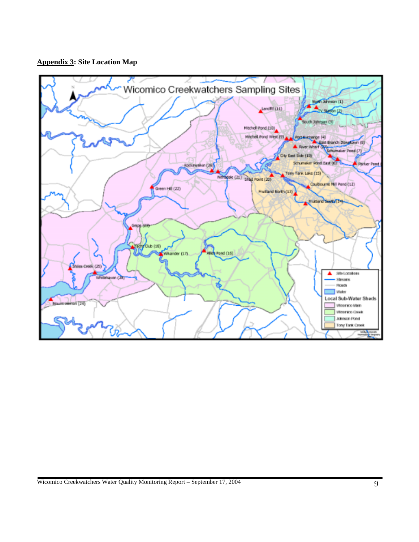#### **Appendix 3: Site Location Map**

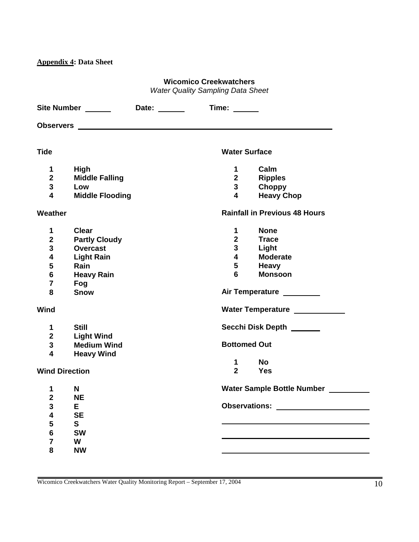**Appendix 4: Data Sheet** 

#### **Wicomico Creekwatchers**

*Water Quality Sampling Data Sheet* 

|                         | Site Number ______<br>Date: ______ | Time: $\frac{1}{\sqrt{1-\frac{1}{2}}\sqrt{1-\frac{1}{2}}\left(1-\frac{1}{2}\right)}$ |
|-------------------------|------------------------------------|--------------------------------------------------------------------------------------|
|                         |                                    |                                                                                      |
| <b>Tide</b>             |                                    | <b>Water Surface</b>                                                                 |
| 1                       | High                               | Calm<br>1                                                                            |
| $\overline{2}$          | <b>Middle Falling</b>              | $2^{\sim}$<br><b>Ripples</b>                                                         |
| $\mathbf{3}$            | Low                                | $\mathbf{3}$<br>Choppy                                                               |
| $\overline{\mathbf{4}}$ | <b>Middle Flooding</b>             | $\overline{\mathbf{4}}$<br><b>Heavy Chop</b>                                         |
| Weather                 |                                    | <b>Rainfall in Previous 48 Hours</b>                                                 |
| 1                       | <b>Clear</b>                       | <b>None</b><br>$\mathbf 1$                                                           |
| $\mathbf 2$             | <b>Partly Cloudy</b>               | $\overline{2}$<br><b>Trace</b>                                                       |
| $\mathbf{3}$            | <b>Overcast</b>                    | $\mathbf{3}$<br>Light                                                                |
| 4                       | <b>Light Rain</b>                  | $\overline{\mathbf{4}}$<br><b>Moderate</b>                                           |
| 5                       | Rain                               | 5<br><b>Heavy</b>                                                                    |
| $\bf 6$                 | <b>Heavy Rain</b>                  | <b>Monsoon</b><br>6                                                                  |
| $\overline{\mathbf{7}}$ | Fog                                |                                                                                      |
| 8                       | <b>Snow</b>                        | Air Temperature ________                                                             |
| Wind                    |                                    | Water Temperature ___________                                                        |
| $\mathbf 1$             | <b>Still</b>                       | Secchi Disk Depth ______                                                             |
| $\overline{2}$          | <b>Light Wind</b>                  |                                                                                      |
| $\mathbf{3}$            | <b>Medium Wind</b>                 | <b>Bottomed Out</b>                                                                  |
| $\overline{\mathbf{4}}$ | <b>Heavy Wind</b>                  |                                                                                      |
|                         |                                    | <b>No</b><br>$\mathbf 1$                                                             |
|                         | <b>Wind Direction</b>              | $\overline{2}$<br><b>Yes</b>                                                         |
| 1                       | N                                  | Water Sample Bottle Number                                                           |
| $\overline{\mathbf{2}}$ | <b>NE</b>                          |                                                                                      |
| ${\bf 3}$               | E.                                 | <b>Observations:</b>                                                                 |
| 4                       | <b>SE</b>                          |                                                                                      |
| 5                       | S                                  |                                                                                      |
| 6                       | <b>SW</b>                          |                                                                                      |
| $\overline{\mathbf{7}}$ | W                                  |                                                                                      |
| 8                       | <b>NW</b>                          |                                                                                      |
|                         |                                    |                                                                                      |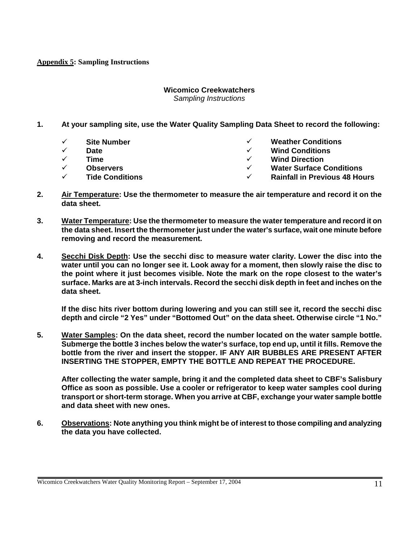#### **Appendix 5: Sampling Instructions**

#### **Wicomico Creekwatchers**

*Sampling Instructions* 

- **1. At your sampling site, use the Water Quality Sampling Data Sheet to record the following:** 
	- ! **Site Number**
	- ! **Date**
	- ! **Time**
	- ! **Observers**
	- ! **Tide Conditions**
- ! **Weather Conditions**
- ! **Wind Conditions**
- **Wind Direction**
- ! **Water Surface Conditions**
- ! **Rainfall in Previous 48 Hours**
- **2. Air Temperature: Use the thermometer to measure the air temperature and record it on the data sheet.**
- **3. Water Temperature: Use the thermometer to measure the water temperature and record it on the data sheet. Insert the thermometer just under the water's surface, wait one minute before removing and record the measurement.**
- **4. Secchi Disk Depth: Use the secchi disc to measure water clarity. Lower the disc into the water until you can no longer see it. Look away for a moment, then slowly raise the disc to the point where it just becomes visible. Note the mark on the rope closest to the water's surface. Marks are at 3-inch intervals. Record the secchi disk depth in feet and inches on the data sheet.**

**If the disc hits river bottom during lowering and you can still see it, record the secchi disc depth and circle "2 Yes" under "Bottomed Out" on the data sheet. Otherwise circle "1 No."** 

**5. Water Samples: On the data sheet, record the number located on the water sample bottle. Submerge the bottle 3 inches below the water's surface, top end up, until it fills. Remove the bottle from the river and insert the stopper. IF ANY AIR BUBBLES ARE PRESENT AFTER INSERTING THE STOPPER, EMPTY THE BOTTLE AND REPEAT THE PROCEDURE.** 

**After collecting the water sample, bring it and the completed data sheet to CBF's Salisbury Office as soon as possible. Use a cooler or refrigerator to keep water samples cool during transport or short-term storage. When you arrive at CBF, exchange your water sample bottle and data sheet with new ones.** 

**6. Observations: Note anything you think might be of interest to those compiling and analyzing the data you have collected.**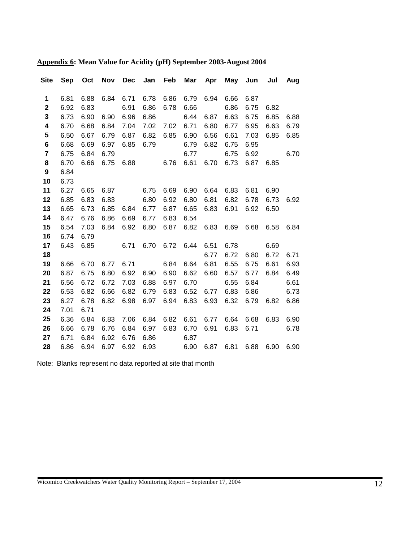| Site             | <b>Sep</b>   |              |              |              |              | Oct Nov Dec Jan Feb Mar Apr May Jun Jul |              |              |              |           |      | Aug          |
|------------------|--------------|--------------|--------------|--------------|--------------|-----------------------------------------|--------------|--------------|--------------|-----------|------|--------------|
| 1                | 6.81         | 6.88         | 6.84         | 6.71         | 6.78         | 6.86                                    | 6.79         | 6.94         | 6.66         | 6.87      |      |              |
| $\mathbf 2$      | 6.92         | 6.83         |              | 6.91         | 6.86         | 6.78                                    | 6.66         |              | 6.86         | 6.75      | 6.82 |              |
| $\mathbf 3$      | 6.73         | 6.90         | 6.90         | 6.96         | 6.86         |                                         | 6.44         | 6.87         | 6.63         | 6.75      | 6.85 | 6.88         |
| 4                | 6.70         | 6.68         | 6.84         | 7.04         | 7.02         | 7.02                                    | 6.71         | 6.80         | 6.77         | 6.95      | 6.63 | 6.79         |
| 5                | 6.50         | 6.67         | 6.79         | 6.87         | 6.82         | 6.85                                    | 6.90         | 6.56         | 6.61         | 7.03      | 6.85 | 6.85         |
| 6                | 6.68         | 6.69         | 6.97         | 6.85         | 6.79         |                                         | 6.79         | 6.82         | 6.75         | 6.95      |      |              |
| $\overline{7}$   | 6.75         | 6.84         | 6.79         |              |              |                                         | 6.77         |              | 6.75         | 6.92      |      | 6.70         |
| 8                | 6.70         | 6.66         | 6.75         |              |              | 6.88 6.76                               | 6.61         |              | 6.70 6.73    | 6.87 6.85 |      |              |
| $\boldsymbol{9}$ | 6.84         |              |              |              |              |                                         |              |              |              |           |      |              |
| 10               | 6.73         |              |              |              |              |                                         |              |              |              |           |      |              |
| 11               | 6.27         | 6.65         | 6.87         |              | 6.75         | 6.69                                    | 6.90         | 6.64         | 6.83         | 6.81      | 6.90 |              |
| 12               | 6.85         | 6.83         | 6.83         |              | 6.80         | 6.92                                    | 6.80         | 6.81         | 6.82         | 6.78      | 6.73 | 6.92         |
| 13               | 6.65         | 6.73         | 6.85         | 6.84         | 6.77         | 6.87                                    | 6.65         | 6.83         | 6.91         | 6.92      | 6.50 |              |
| 14               | 6.47         | 6.76         | 6.86         | 6.69         | 6.77         | 6.83                                    | 6.54         |              |              |           |      |              |
| 15               | 6.54         | 7.03         | 6.84         | 6.92         | 6.80         | 6.87                                    | 6.82         | 6.83         | 6.69         | 6.68      | 6.58 | 6.84         |
| 16               | 6.74         | 6.79         |              |              |              |                                         |              |              |              |           |      |              |
| 17               | 6.43         | 6.85         |              | 6.71         | 6.70         | 6.72                                    | 6.44         | 6.51         | 6.78         |           | 6.69 |              |
| 18               |              |              |              |              |              |                                         |              | 6.77         | 6.72         | 6.80      | 6.72 | 6.71         |
| 19               | 6.66         | 6.70         | 6.77         | 6.71         |              | 6.84                                    | 6.64         | 6.81         | 6.55         | 6.75      | 6.61 | 6.93         |
| 20               | 6.87         | 6.75         | 6.80         | 6.92         | 6.90         | 6.90                                    | 6.62         | 6.60         | 6.57         | 6.77      | 6.84 | 6.49         |
| 21               | 6.56         | 6.72         | 6.72         | 7.03         | 6.88         | 6.97                                    | 6.70         |              | 6.55         | 6.84      |      | 6.61         |
| 22               | 6.53         | 6.82         | 6.66         | 6.82         | 6.79         | 6.83                                    | 6.52         | 6.77         | 6.83         | 6.86      |      | 6.73         |
| 23               | 6.27         | 6.78         | 6.82         | 6.98         | 6.97         | 6.94                                    | 6.83         | 6.93         | 6.32         | 6.79      | 6.82 | 6.86         |
| 24               | 7.01         | 6.71         |              |              |              |                                         |              |              |              | 6.68      |      |              |
| 25<br>26         | 6.36         | 6.84         | 6.83<br>6.76 | 7.06         | 6.84         | 6.82<br>6.83                            | 6.61<br>6.70 | 6.77<br>6.91 | 6.64<br>6.83 | 6.71      | 6.83 | 6.90<br>6.78 |
| 27               | 6.66<br>6.71 | 6.78<br>6.84 | 6.92         | 6.84<br>6.76 | 6.97<br>6.86 |                                         | 6.87         |              |              |           |      |              |
| 28               | 6.86         | 6.94         | 6.97         | 6.92         | 6.93         |                                         | 6.90         | 6.87         | 6.81         | 6.88      | 6.90 | 6.90         |
|                  |              |              |              |              |              |                                         |              |              |              |           |      |              |

**Appendix 6: Mean Value for Acidity (pH) September 2003-August 2004**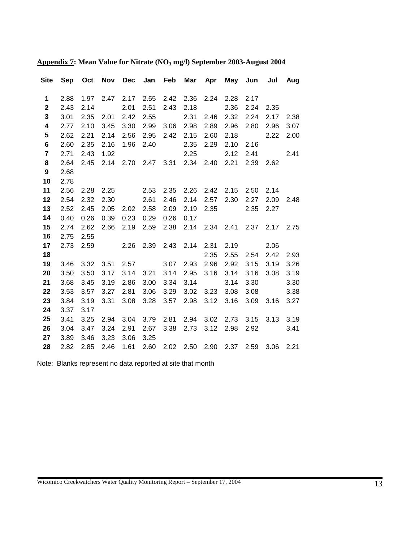|                         |      |      |      |           |           |                |                |           | Site Sep Oct Nov Dec Jan Feb Mar Apr May Jun Jul Aug |           |           |           |
|-------------------------|------|------|------|-----------|-----------|----------------|----------------|-----------|------------------------------------------------------|-----------|-----------|-----------|
| $\mathbf 1$             | 2.88 | 1.97 | 2.47 | 2.17      |           | 2.55 2.42      | 2.36           |           | 2.24 2.28                                            | 2.17      |           |           |
| $\mathbf{2}$            | 2.43 | 2.14 |      | 2.01      | 2.51      | 2.43           | 2.18           |           | 2.36                                                 | 2.24      | 2.35      |           |
| $\mathbf{3}$            | 3.01 | 2.35 | 2.01 | 2.42      | 2.55      |                | 2.31           | 2.46      | 2.32                                                 | 2.24      | 2.17      | 2.38      |
| $\overline{\mathbf{4}}$ | 2.77 | 2.10 | 3.45 | 3.30      | 2.99      | 3.06 2.98      |                | 2.89      | 2.96                                                 | 2.80      | 2.96      | 3.07      |
| ${\bf 5}$               | 2.62 | 2.21 | 2.14 | 2.56      | 2.95      |                | 2.42 2.15      | 2.60      | 2.18                                                 |           | 2.22      | 2.00      |
| $\bf 6$                 | 2.60 | 2.35 | 2.16 | 1.96      |           | 2.40 2.35      |                |           | 2.29 2.10                                            | 2.16      |           |           |
| $\overline{7}$          | 2.71 | 2.43 | 1.92 |           |           |                | 2.25           | 2.12      |                                                      | 2.41 2.41 |           |           |
| 8                       | 2.64 | 2.45 |      |           |           |                |                |           | 2.14 2.70 2.47 3.31 2.34 2.40 2.21 2.39 2.62         |           |           |           |
| $\boldsymbol{9}$        | 2.68 |      |      |           |           |                |                |           |                                                      |           |           |           |
| 10                      | 2.78 |      |      |           |           |                |                |           |                                                      |           |           |           |
| 11                      | 2.56 | 2.28 | 2.25 |           |           |                |                |           | 2.53 2.35 2.26 2.42 2.15 2.50 2.14                   |           |           |           |
| 12                      | 2.54 | 2.32 | 2.30 |           | 2.61      | 2.46           | 2.14           |           | 2.57 2.30 2.27                                       |           |           | 2.09 2.48 |
| 13                      | 2.52 | 2.45 | 2.05 |           | 2.02 2.58 |                | 2.09 2.19      | 2.35      | 2.35                                                 |           | 2.27      |           |
| 14                      | 0.40 | 0.26 | 0.39 | 0.23      | 0.29      | 0.26           | 0.17           |           |                                                      |           |           |           |
| 15                      | 2.74 | 2.62 | 2.66 |           | 2.19 2.59 |                |                |           | 2.38 2.14 2.34 2.41 2.37 2.17 2.75                   |           |           |           |
| 16                      | 2.75 | 2.55 |      |           |           |                |                |           |                                                      |           |           |           |
| 17                      | 2.73 | 2.59 |      | 2.26 2.39 |           |                | 2.43 2.14 2.31 |           | 2.19                                                 |           | 2.06      |           |
| 18                      |      |      |      |           |           |                |                | 2.35      | 2.55                                                 |           | 2.54 2.42 | 2.93      |
| 19                      | 3.46 | 3.32 | 3.51 |           | 2.57      | 3.07           |                | 2.93 2.96 | 2.92                                                 | 3.15      | 3.19      | 3.26      |
| 20                      | 3.50 | 3.50 | 3.17 | 3.14      | 3.21      | 3.14           | 2.95           | 3.16      | 3.14                                                 | 3.16      | 3.08      | 3.19      |
| 21                      | 3.68 | 3.45 | 3.19 | 2.86      | 3.00      | 3.34           |                | 3.14      | 3.14                                                 | 3.30      |           | 3.30      |
| 22                      | 3.53 | 3.57 | 3.27 | 2.81      | 3.06      | 3.29           | 3.02           | 3.23      | 3.08                                                 | 3.08      |           | 3.38      |
| 23                      | 3.84 | 3.19 | 3.31 | 3.08      |           | 3.28 3.57 2.98 |                |           | 3.12 3.16                                            | 3.09 3.16 |           | 3.27      |
| 24                      | 3.37 | 3.17 |      |           |           |                |                |           |                                                      |           |           |           |
| 25                      | 3.41 | 3.25 | 2.94 | 3.04      | 3.79      | 2.81           | 2.94           |           | 3.02 2.73 3.15                                       |           | 3.13 3.19 |           |
| 26                      | 3.04 | 3.47 | 3.24 | 2.91      | 2.67      |                | 3.38 2.73      |           | 3.12 2.98                                            |           | 2.92      | 3.41      |
| 27                      | 3.89 | 3.46 | 3.23 | 3.06      | 3.25      |                |                |           |                                                      |           |           |           |
| 28                      | 2.82 | 2.85 | 2.46 | 1.61      |           |                |                |           | 2.60 2.02 2.50 2.90 2.37 2.59 3.06 2.21              |           |           |           |

# **Appendix 7: Mean Value for Nitrate (NO3 mg/l) September 2003-August 2004**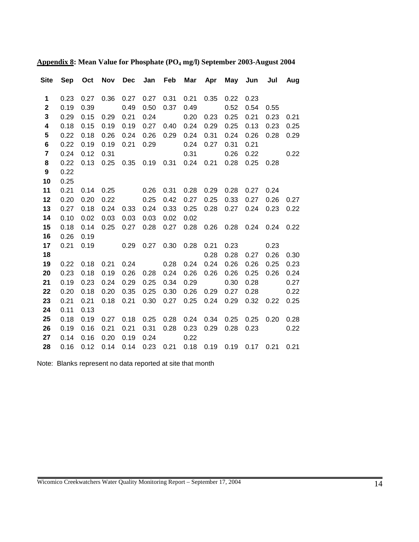| <b>Site</b>             |      |      |      |      |      |      | Sep Oct Nov Dec Jan Feb Mar Apr May Jun Jul Aug |      |                        |      |      |      |
|-------------------------|------|------|------|------|------|------|-------------------------------------------------|------|------------------------|------|------|------|
| 1                       | 0.23 | 0.27 | 0.36 | 0.27 | 0.27 | 0.31 | 0.21                                            | 0.35 | 0.22                   | 0.23 |      |      |
| $\mathbf 2$             | 0.19 | 0.39 |      | 0.49 | 0.50 | 0.37 | 0.49                                            |      | 0.52                   | 0.54 | 0.55 |      |
| $\mathbf{3}$            | 0.29 | 0.15 | 0.29 | 0.21 | 0.24 |      | 0.20                                            | 0.23 | 0.25                   | 0.21 | 0.23 | 0.21 |
| $\overline{\mathbf{4}}$ | 0.18 | 0.15 | 0.19 | 0.19 | 0.27 | 0.40 | 0.24                                            | 0.29 | 0.25                   | 0.13 | 0.23 | 0.25 |
| ${\bf 5}$               | 0.22 | 0.18 | 0.26 | 0.24 | 0.26 | 0.29 | 0.24                                            | 0.31 | 0.24                   | 0.26 | 0.28 | 0.29 |
| $\bf 6$                 | 0.22 | 0.19 | 0.19 | 0.21 | 0.29 |      | 0.24                                            | 0.27 | 0.31                   | 0.21 |      |      |
| $\overline{7}$          | 0.24 | 0.12 | 0.31 |      |      |      | 0.31                                            |      | 0.26                   | 0.22 |      | 0.22 |
| $\bf 8$                 | 0.22 | 0.13 | 0.25 |      |      |      | 0.35  0.19  0.31  0.24                          |      | $0.21$ 0.28            | 0.25 | 0.28 |      |
| $\boldsymbol{9}$        | 0.22 |      |      |      |      |      |                                                 |      |                        |      |      |      |
| 10                      | 0.25 |      |      |      |      |      |                                                 |      |                        |      |      |      |
| 11                      | 0.21 | 0.14 | 0.25 |      | 0.26 | 0.31 | 0.28                                            | 0.29 | 0.28                   | 0.27 | 0.24 |      |
| 12                      | 0.20 | 0.20 | 0.22 |      | 0.25 | 0.42 | 0.27                                            | 0.25 | 0.33                   | 0.27 | 0.26 | 0.27 |
| 13                      | 0.27 | 0.18 | 0.24 | 0.33 | 0.24 | 0.33 | 0.25                                            | 0.28 | 0.27                   | 0.24 | 0.23 | 0.22 |
| 14                      | 0.10 | 0.02 | 0.03 | 0.03 | 0.03 | 0.02 | 0.02                                            |      |                        |      |      |      |
| 15                      | 0.18 | 0.14 | 0.25 | 0.27 | 0.28 |      | $0.27$ 0.28                                     | 0.26 | 0.28  0.24  0.24       |      |      | 0.22 |
| 16                      | 0.26 | 0.19 |      |      |      |      |                                                 |      |                        |      |      |      |
| 17                      | 0.21 | 0.19 |      | 0.29 | 0.27 | 0.30 | 0.28                                            | 0.21 | 0.23                   |      | 0.23 |      |
| 18                      |      |      |      |      |      |      |                                                 | 0.28 | 0.28                   | 0.27 | 0.26 | 0.30 |
| 19                      | 0.22 | 0.18 | 0.21 | 0.24 |      | 0.28 | 0.24                                            | 0.24 | 0.26                   | 0.26 | 0.25 | 0.23 |
| 20                      | 0.23 | 0.18 | 0.19 | 0.26 | 0.28 | 0.24 | 0.26                                            | 0.26 | 0.26                   | 0.25 | 0.26 | 0.24 |
| 21                      | 0.19 | 0.23 | 0.24 | 0.29 | 0.25 | 0.34 | 0.29                                            |      | 0.30                   | 0.28 |      | 0.27 |
| 22                      | 0.20 | 0.18 | 0.20 | 0.35 | 0.25 | 0.30 | 0.26                                            | 0.29 | 0.27                   | 0.28 |      | 0.22 |
| 23                      | 0.21 | 0.21 | 0.18 | 0.21 | 0.30 | 0.27 | 0.25                                            | 0.24 | 0.29                   | 0.32 | 0.22 | 0.25 |
| 24                      | 0.11 | 0.13 |      |      |      |      |                                                 |      |                        |      |      |      |
| 25                      | 0.18 | 0.19 | 0.27 | 0.18 | 0.25 | 0.28 | 0.24                                            | 0.34 | 0.25                   | 0.25 | 0.20 | 0.28 |
| 26                      | 0.19 | 0.16 | 0.21 | 0.21 | 0.31 | 0.28 | 0.23                                            | 0.29 | 0.28                   | 0.23 |      | 0.22 |
| 27                      | 0.14 | 0.16 | 0.20 | 0.19 | 0.24 |      | 0.22                                            |      |                        |      |      |      |
| 28                      | 0.16 | 0.12 | 0.14 | 0.14 | 0.23 | 0.21 | 0.18                                            |      | 0.19  0.19  0.17  0.21 |      |      | 0.21 |

**Appendix 8: Mean Value for Phosphate (PO4 mg/l) September 2003-August 2004**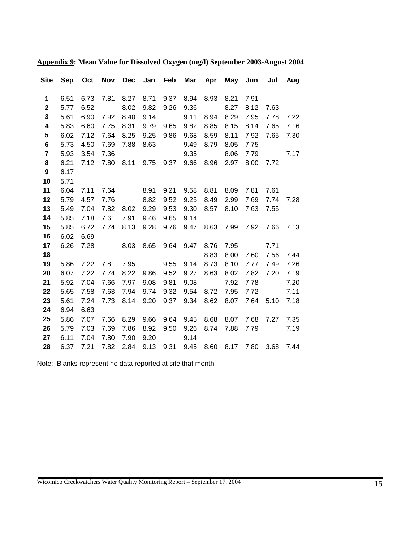| <b>Site</b>      | <b>Sep</b> |      |      |      |           |      | Oct Nov Dec Jan Feb Mar Apr May Jun Jul Aug |      |                     |      |           |           |
|------------------|------------|------|------|------|-----------|------|---------------------------------------------|------|---------------------|------|-----------|-----------|
| 1                | 6.51       | 6.73 | 7.81 | 8.27 | 8.71      | 9.37 | 8.94                                        | 8.93 | 8.21                | 7.91 |           |           |
| $\mathbf{2}$     | 5.77       | 6.52 |      | 8.02 | 9.82      | 9.26 | 9.36                                        |      | 8.27                | 8.12 | 7.63      |           |
| 3                | 5.61       | 6.90 | 7.92 | 8.40 | 9.14      |      | 9.11                                        | 8.94 | 8.29                | 7.95 | 7.78      | 7.22      |
| 4                | 5.83       | 6.60 | 7.75 | 8.31 | 9.79      | 9.65 | 9.82                                        | 8.85 | 8.15                | 8.14 | 7.65      | 7.16      |
| 5                | 6.02       | 7.12 | 7.64 | 8.25 | 9.25      | 9.86 | 9.68                                        | 8.59 | 8.11                | 7.92 | 7.65      | 7.30      |
| $\bf 6$          | 5.73       | 4.50 | 7.69 | 7.88 | 8.63      |      | 9.49                                        | 8.79 | 8.05                | 7.75 |           |           |
| $\overline{7}$   | 5.93       | 3.54 | 7.36 |      |           |      | 9.35                                        |      | 8.06                | 7.79 |           | 7.17      |
| 8                | 6.21       | 7.12 |      |      |           |      | 7.80 8.11 9.75 9.37 9.66 8.96 2.97          |      |                     |      | 8.00 7.72 |           |
| $\boldsymbol{9}$ | 6.17       |      |      |      |           |      |                                             |      |                     |      |           |           |
| 10               | 5.71       |      |      |      |           |      |                                             |      |                     |      |           |           |
| 11               | 6.04       | 7.11 | 7.64 |      | 8.91      | 9.21 | 9.58                                        | 8.81 | 8.09                | 7.81 | 7.61      |           |
| 12               | 5.79       | 4.57 | 7.76 |      | 8.82      | 9.52 | 9.25                                        | 8.49 | 2.99                | 7.69 | 7.74      | 7.28      |
| 13               | 5.49       | 7.04 | 7.82 |      | 8.02 9.29 | 9.53 | 9.30                                        | 8.57 | 8.10                | 7.63 | 7.55      |           |
| 14               | 5.85       | 7.18 | 7.61 | 7.91 | 9.46      | 9.65 | 9.14                                        |      |                     |      |           |           |
| 15               | 5.85       | 6.72 | 7.74 |      | 8.13 9.28 | 9.76 |                                             |      | 9.47 8.63 7.99 7.92 |      |           | 7.66 7.13 |
| 16               | 6.02       | 6.69 |      |      |           |      |                                             |      |                     |      |           |           |
| 17               | 6.26       | 7.28 |      | 8.03 | 8.65      | 9.64 | 9.47                                        | 8.76 | 7.95                |      | 7.71      |           |
| 18               |            |      |      |      |           |      |                                             | 8.83 | 8.00                | 7.60 | 7.56      | 7.44      |
| 19               | 5.86       | 7.22 | 7.81 | 7.95 |           | 9.55 | 9.14                                        | 8.73 | 8.10                | 7.77 | 7.49      | 7.26      |
| 20               | 6.07       | 7.22 | 7.74 | 8.22 | 9.86      | 9.52 | 9.27                                        | 8.63 | 8.02                | 7.82 | 7.20      | 7.19      |
| 21               | 5.92       | 7.04 | 7.66 | 7.97 | 9.08      | 9.81 | 9.08                                        |      | 7.92                | 7.78 |           | 7.20      |
| 22               | 5.65       | 7.58 | 7.63 | 7.94 | 9.74      | 9.32 | 9.54                                        | 8.72 | 7.95                | 7.72 |           | 7.11      |
| 23               | 5.61       | 7.24 | 7.73 | 8.14 | 9.20      | 9.37 | 9.34                                        | 8.62 | 8.07                |      | 7.64 5.10 | 7.18      |
| 24               | 6.94       | 6.63 |      |      |           |      |                                             |      |                     |      |           |           |
| 25               | 5.86       | 7.07 | 7.66 | 8.29 | 9.66      | 9.64 | 9.45                                        | 8.68 | 8.07                | 7.68 | 7.27 7.35 |           |
| 26               | 5.79       | 7.03 | 7.69 | 7.86 | 8.92      | 9.50 | 9.26                                        |      | 8.74 7.88           | 7.79 |           | 7.19      |
| 27               | 6.11       | 7.04 | 7.80 | 7.90 | 9.20      |      | 9.14                                        |      |                     |      |           |           |
| 28               | 6.37       | 7.21 | 7.82 | 2.84 | 9.13      | 9.31 | 9.45                                        |      | 8.60 8.17 7.80      |      |           | 3.68 7.44 |

**Appendix 9: Mean Value for Dissolved Oxygen (mg/l) September 2003-August 2004**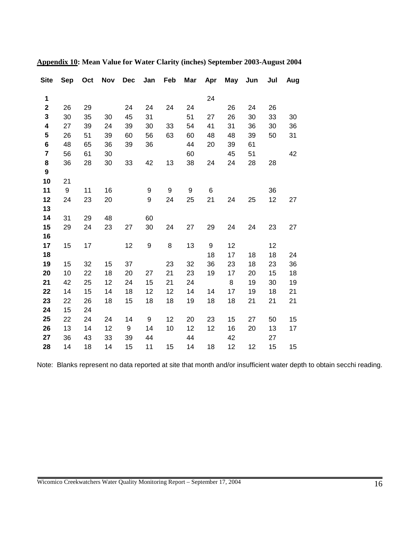| <b>Site</b>             | <b>Sep</b> | Oct | <b>Nov</b> | <b>Dec</b> | Jan | Feb | Mar | Apr | May | Jun | Jul | Aug |
|-------------------------|------------|-----|------------|------------|-----|-----|-----|-----|-----|-----|-----|-----|
| 1                       |            |     |            |            |     |     |     | 24  |     |     |     |     |
| $\mathbf 2$             | 26         | 29  |            | 24         | 24  | 24  | 24  |     | 26  | 24  | 26  |     |
| 3                       | 30         | 35  | 30         | 45         | 31  |     | 51  | 27  | 26  | 30  | 33  | 30  |
| 4                       | 27         | 39  | 24         | 39         | 30  | 33  | 54  | 41  | 31  | 36  | 30  | 36  |
| 5                       | 26         | 51  | 39         | 60         | 56  | 63  | 60  | 48  | 48  | 39  | 50  | 31  |
| 6                       | 48         | 65  | 36         | 39         | 36  |     | 44  | 20  | 39  | 61  |     |     |
| $\overline{\mathbf{r}}$ | 56         | 61  | 30         |            |     |     | 60  |     | 45  | 51  |     | 42  |
| 8                       | 36         | 28  | 30         | 33         | 42  | 13  | 38  | 24  | 24  | 28  | 28  |     |
| $\boldsymbol{9}$        |            |     |            |            |     |     |     |     |     |     |     |     |
| 10                      | 21         |     |            |            |     |     |     |     |     |     |     |     |
| 11                      | 9          | 11  | 16         |            | 9   | 9   | 9   | 6   |     |     | 36  |     |
| 12                      | 24         | 23  | 20         |            | 9   | 24  | 25  | 21  | 24  | 25  | 12  | 27  |
| 13                      |            |     |            |            |     |     |     |     |     |     |     |     |
| 14                      | 31         | 29  | 48         |            | 60  |     |     |     |     |     |     |     |
| 15                      | 29         | 24  | 23         | 27         | 30  | 24  | 27  | 29  | 24  | 24  | 23  | 27  |
| 16                      |            |     |            |            |     |     |     |     |     |     |     |     |
| 17                      | 15         | 17  |            | 12         | 9   | 8   | 13  | 9   | 12  |     | 12  |     |
| 18                      |            |     |            |            |     |     |     | 18  | 17  | 18  | 18  | 24  |
| 19                      | 15         | 32  | 15         | 37         |     | 23  | 32  | 36  | 23  | 18  | 23  | 36  |
| 20                      | 10         | 22  | 18         | 20         | 27  | 21  | 23  | 19  | 17  | 20  | 15  | 18  |
| 21                      | 42         | 25  | 12         | 24         | 15  | 21  | 24  |     | 8   | 19  | 30  | 19  |
| 22                      | 14         | 15  | 14         | 18         | 12  | 12  | 14  | 14  | 17  | 19  | 18  | 21  |
| 23                      | 22         | 26  | 18         | 15         | 18  | 18  | 19  | 18  | 18  | 21  | 21  | 21  |
| 24                      | 15         | 24  |            |            |     |     |     |     |     |     |     |     |
| 25                      | 22         | 24  | 24         | 14         | 9   | 12  | 20  | 23  | 15  | 27  | 50  | 15  |
| 26                      | 13         | 14  | 12         | 9          | 14  | 10  | 12  | 12  | 16  | 20  | 13  | 17  |
| 27                      | 36         | 43  | 33         | 39         | 44  |     | 44  |     | 42  |     | 27  |     |
| 28                      | 14         | 18  | 14         | 15         | 11  | 15  | 14  | 18  | 12  | 12  | 15  | 15  |

**Appendix 10: Mean Value for Water Clarity (inches) September 2003-August 2004** 

Note: Blanks represent no data reported at site that month and/or insufficient water depth to obtain secchi reading.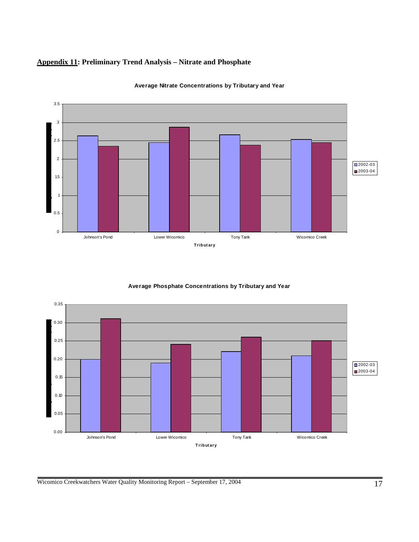## **Appendix 11: Preliminary Trend Analysis – Nitrate and Phosphate**



**Average Nitrate Concentrations by Tributary and Year**

#### **Average Phosphate Concentrations by Tributary and Year**



Wicomico Creekwatchers Water Quality Monitoring Report – September 17, 2004 17